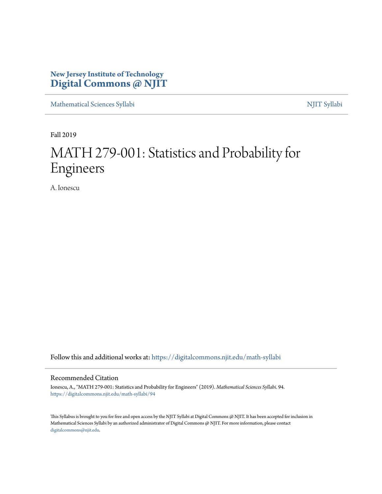# **New Jersey Institute of Technology [Digital Commons @ NJIT](https://digitalcommons.njit.edu/?utm_source=digitalcommons.njit.edu%2Fmath-syllabi%2F94&utm_medium=PDF&utm_campaign=PDFCoverPages)**

[Mathematical Sciences Syllabi](https://digitalcommons.njit.edu/math-syllabi?utm_source=digitalcommons.njit.edu%2Fmath-syllabi%2F94&utm_medium=PDF&utm_campaign=PDFCoverPages) [NJIT Syllabi](https://digitalcommons.njit.edu/syllabi?utm_source=digitalcommons.njit.edu%2Fmath-syllabi%2F94&utm_medium=PDF&utm_campaign=PDFCoverPages)

Fall 2019

# MATH 279-001: Statistics and Probability for Engineers

A. Ionescu

Follow this and additional works at: [https://digitalcommons.njit.edu/math-syllabi](https://digitalcommons.njit.edu/math-syllabi?utm_source=digitalcommons.njit.edu%2Fmath-syllabi%2F94&utm_medium=PDF&utm_campaign=PDFCoverPages)

#### Recommended Citation

Ionescu, A., "MATH 279-001: Statistics and Probability for Engineers" (2019). *Mathematical Sciences Syllabi*. 94. [https://digitalcommons.njit.edu/math-syllabi/94](https://digitalcommons.njit.edu/math-syllabi/94?utm_source=digitalcommons.njit.edu%2Fmath-syllabi%2F94&utm_medium=PDF&utm_campaign=PDFCoverPages)

This Syllabus is brought to you for free and open access by the NJIT Syllabi at Digital Commons @ NJIT. It has been accepted for inclusion in Mathematical Sciences Syllabi by an authorized administrator of Digital Commons @ NJIT. For more information, please contact [digitalcommons@njit.edu](mailto:digitalcommons@njit.edu).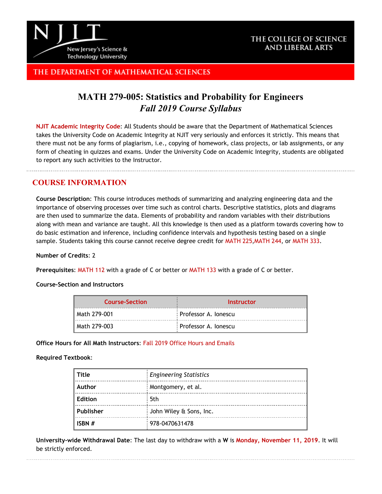

## THE COLLEGE OF SCIENCE **AND LIBERAL ARTS**

# THE DEPARTMENT OF MATHEMATICAL SCIENCES

# **MATH 279-005: Statistics and Probability for Engineers** *Fall 2019 Course Syllabus*

**[NJIT Academic Integrity Code](http://www.njit.edu/policies/sites/policies/files/academic-integrity-code.pdf)**: All Students should be aware that the Department of Mathematical Sciences takes the University Code on Academic Integrity at NJIT very seriously and enforces it strictly. This means that there must not be any forms of plagiarism, i.e., copying of homework, class projects, or lab assignments, or any form of cheating in quizzes and exams. Under the University Code on Academic Integrity, students are obligated to report any such activities to the Instructor.

# **COURSE INFORMATION**

**Course Description**: This course introduces methods of summarizing and analyzing engineering data and the importance of observing processes over time such as control charts. Descriptive statistics, plots and diagrams are then used to summarize the data. Elements of probability and random variables with their distributions along with mean and variance are taught. All this knowledge is then used as a platform towards covering how to do basic estimation and inference, including confidence intervals and hypothesis testing based on a single sample. Students taking this course cannot receive degree credit for [MATH](http://catalog.njit.edu/search/?P=MATH%20225) 225,[MATH](http://catalog.njit.edu/search/?P=MATH%20244) 244, or [MATH](http://catalog.njit.edu/search/?P=MATH%20333) 333.

#### **Number of Credits**: 2

**Prerequisites**: [MATH](http://catalog.njit.edu/search/?P=MATH%20112) 112 with a grade of C or better or [MATH](http://catalog.njit.edu/search/?P=MATH%20133) 133 with a grade of C or better.

#### **Course-Section and Instructors**

| <b>Course-Section</b> | Instructor             |
|-----------------------|------------------------|
| l Math 279-001        | : Professor A. Ionescu |
| l Math 279-003        | : Professor A. Ionescu |

#### **Office Hours for All Math Instructors**: [Fall 2019 Office Hours and Emails](http://math.njit.edu/students/officehours.php)

#### **Required Textbook**:

| Title     | <b>Engineering Statistics</b> |  |
|-----------|-------------------------------|--|
| Author    | : Montgomery, et al.          |  |
| Edition   | 5th                           |  |
| Publisher | John Wiley & Sons, Inc.       |  |
| ISBN #    | : 978-0470631478              |  |

**University-wide Withdrawal Date**: The last day to withdraw with a **W** is **[Monday, November 11, 2019](http://www.njit.edu/registrar/calendars/2016Fall.php)**. It will be strictly enforced.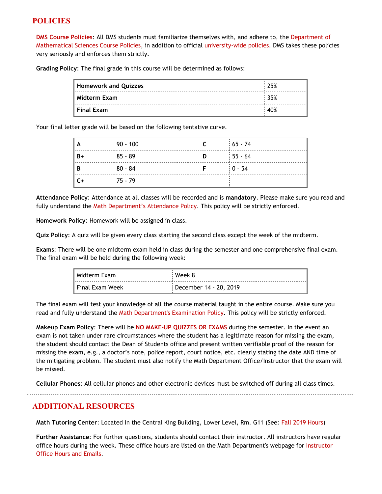# **POLICIES**

**[DMS Course Policies](http://math.njit.edu/students/undergraduate/policies_math.php)**: All DMS students must familiarize themselves with, and adhere to, the [Department of](http://math.njit.edu/students/undergraduate/policies_math.php) [Mathematical Sciences Course Policies](http://math.njit.edu/students/undergraduate/policies_math.php), in addition to official [university-wide policies](http://catalog.njit.edu/undergraduate/academic-policies-procedures/). DMS takes these policies very seriously and enforces them strictly.

**Grading Policy**: The final grade in this course will be determined as follows:

| Homework and Quizzes | 25%   |
|----------------------|-------|
| Midterm Exam         | 35%   |
| Final Exam           | : 40% |

Your final letter grade will be based on the following tentative curve.

| ÈΑ   | $190 - 100$ |     | $165 - 74$ |
|------|-------------|-----|------------|
| B+   | $185 - 89$  | : D | $155 - 64$ |
| B    | $180 - 84$  |     | $10 - 54$  |
| l C+ | $175 - 79$  |     |            |

**Attendance Policy**: Attendance at all classes will be recorded and is **mandatory**. Please make sure you read and fully understand the [Math Department's Attendance Policy.](http://math.njit.edu/students/policies_attendance.php) This policy will be strictly enforced.

**Homework Policy**: Homework will be assigned in class.

**Quiz Policy**: A quiz will be given every class starting the second class except the week of the midterm.

**Exams**: There will be one midterm exam held in class during the semester and one comprehensive final exam. The final exam will be held during the following week:

| I Midterm Exam    | Week 8                 |
|-------------------|------------------------|
| l Final Exam Week | December 14 - 20, 2019 |

The final exam will test your knowledge of all the course material taught in the entire course. Make sure you read and fully understand the [Math Department's Examination Policy](http://math.njit.edu/students/policies_exam.php). This policy will be strictly enforced.

**Makeup Exam Policy**: There will be **NO MAKE-UP QUIZZES OR EXAMS** during the semester. In the event an exam is not taken under rare circumstances where the student has a legitimate reason for missing the exam, the student should contact the Dean of Students office and present written verifiable proof of the reason for missing the exam, e.g., a doctor's note, police report, court notice, etc. clearly stating the date AND time of the mitigating problem. The student must also notify the Math Department Office/Instructor that the exam will be missed.

**Cellular Phones**: All cellular phones and other electronic devices must be switched off during all class times.

## **ADDITIONAL RESOURCES**

**Math Tutoring Center**: Located in the Central King Building, Lower Level, Rm. G11 (See[: Fall 2019 Hours](http://math.njit.edu/students/undergraduate/tutoring_help.php))

**Further Assistance**: For further questions, students should contact their instructor. All instructors have regular office hours during the week. These office hours are listed on the Math Department's webpage for [Instructor](http://math.njit.edu/students/officehours.php) [Office Hours and Emails](http://math.njit.edu/students/officehours.php).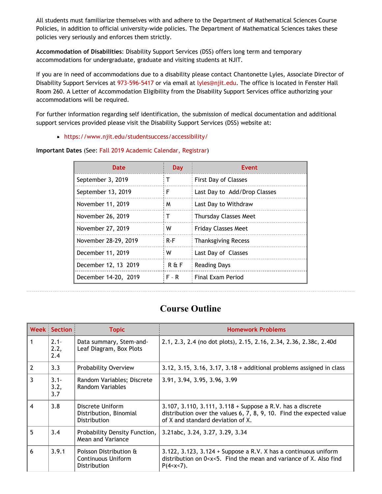All students must familiarize themselves with and adhere to the Department of Mathematical Sciences Course Policies, in addition to official university-wide policies. The Department of Mathematical Sciences takes these policies very seriously and enforces them strictly.

**Accommodation of Disabilities**: Disability Support Services (DSS) offers long term and temporary accommodations for undergraduate, graduate and visiting students at NJIT.

If you are in need of accommodations due to a disability please contact Chantonette Lyles, Associate Director of Disability Support Services at [973-596-5417](tel:973-596-5417) or via email at [lyles@njit.edu](mailto:lyles@njit.edu). The office is located in Fenster Hall Room 260. A Letter of Accommodation Eligibility from the Disability Support Services office authorizing your accommodations will be required.

For further information regarding self identification, the submission of medical documentation and additional support services provided please visit the Disability Support Services (DSS) website at:

[https://www.njit.edu/studentsuccess/accessibility/](http://www5.njit.edu/studentsuccess/disability-support-services/)

| Important Dates (See: Fall 2019 Academic Calendar, Registrar) |  |  |  |  |  |
|---------------------------------------------------------------|--|--|--|--|--|
|---------------------------------------------------------------|--|--|--|--|--|

| <b>Date</b>          | <b>Day</b> | Event                        |
|----------------------|------------|------------------------------|
| September 3, 2019    |            | First Day of Classes         |
| September 13, 2019   | F          | Last Day to Add/Drop Classes |
| November 11, 2019    | M          | Last Day to Withdraw         |
| November 26, 2019    | т          | <b>Thursday Classes Meet</b> |
| November 27, 2019    | W          | <b>Friday Classes Meet</b>   |
| November 28-29, 2019 | $R-F$      | <b>Thanksgiving Recess</b>   |
| December 11, 2019    | w          | Last Day of Classes          |
| December 12, 13 2019 | $R \& F$   | <b>Reading Days</b>          |
| December 14-20, 2019 | $F - R$    | <b>Final Exam Period</b>     |

# **Course Outline**

|                | <b>Week Section</b>    | <b>Topic</b>                                                 | <b>Homework Problems</b>                                                                                                                                                                                    |
|----------------|------------------------|--------------------------------------------------------------|-------------------------------------------------------------------------------------------------------------------------------------------------------------------------------------------------------------|
| 1              | $2.1 -$<br>2.2,<br>2.4 | Data summary, Stem-and-<br>Leaf Diagram, Box Plots           | 2.1, 2.3, 2.4 (no dot plots), 2.15, 2.16, 2.34, 2.36, 2.38c, 2.40d                                                                                                                                          |
| $\overline{2}$ | 3.3                    | Probability Overview                                         | 3.12, 3.15, 3.16, 3.17, $3.18 +$ additional problems assigned in class                                                                                                                                      |
| 3              | $3.1 -$<br>3.2,<br>3.7 | Random Variables; Discrete<br>Random Variables               | 3.91, 3.94, 3.95, 3.96, 3.99                                                                                                                                                                                |
| $\overline{4}$ | 3.8                    | Discrete Uniform<br>Distribution, Binomial<br>Distribution   | 3.107, 3.110, 3.111, 3.118 + Suppose a R.V. has a discrete<br>distribution over the values 6, 7, 8, 9, 10. Find the expected value<br>of X and standard deviation of X.                                     |
| 5              | 3.4                    | Probability Density Function,<br><b>Mean and Variance</b>    | 3.21abc, 3.24, 3.27, 3.29, 3.34                                                                                                                                                                             |
| 6              | 3.9.1                  | Poisson Distribution &<br>Continuous Uniform<br>Distribution | 3.122, 3.123, 3.124 + Suppose a R.V. X has a continuous uniform<br>distribution on 0 <x<5. also="" and="" find="" find<br="" mean="" of="" the="" variance="" x.=""><math>P(4 &lt; x &lt; 7)</math>.</x<5.> |